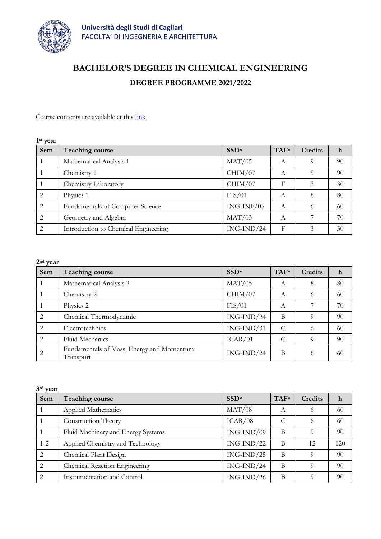

# **BACHELOR'S DEGREE IN CHEMICAL ENGINEERING**

## **DEGREE PROGRAMME 2021/2022**

Course contents are available at this [link](https://unica.esse3.cineca.it/Guide/PaginaRicercaInse.do;jsessionid=6D7868A1A6EC76A5168EA651F5AE7B91?cod_lingua=eng&statoRicerca=INIZIO)

| 1 <sup>st</sup> year |                                      |              |        |                |    |
|----------------------|--------------------------------------|--------------|--------|----------------|----|
| Sem                  | Teaching course                      | $SSD*$       | $TAF*$ | <b>Credits</b> | h  |
|                      | Mathematical Analysis 1              | MAT/05       | А      | 9              | 90 |
|                      | Chemistry 1                          | CHIM/07      | А      | $\Omega$       | 90 |
|                      | Chemistry Laboratory                 | CHIM/07      | F      | 3              | 30 |
| 2                    | Physics 1                            | FIS/01       | А      | 8              | 80 |
| 2                    | Fundamentals of Computer Science     | $ING-INF/05$ | A      | 6              | 60 |
| 2                    | Geometry and Algebra                 | MAT/03       | А      |                | 70 |
| $\overline{2}$       | Introduction to Chemical Engineering | $ING-IND/24$ | F      | 3              | 30 |

| $2nd$ year     |                                                        |                  |        |         |             |
|----------------|--------------------------------------------------------|------------------|--------|---------|-------------|
| Sem            | <b>Teaching course</b>                                 | SSD <sup>*</sup> | $TAF*$ | Credits | $\mathbf h$ |
|                | Mathematical Analysis 2                                | MAT/05           | A      | 8       | 80          |
|                | Chemistry 2                                            | CHIM/07          | А      | 6       | 60          |
|                | Physics 2                                              | FIS/01           | А      |         | 70          |
| 2              | Chemical Thermodynamic                                 | $ING-IND/24$     | B      | 9       | 90          |
| 2              | Electrotechnics                                        | $ING-IND/31$     | C      | 6       | 60          |
| $\overline{2}$ | Fluid Mechanics                                        | ICAR/01          | C      | 9       | 90          |
|                | Fundamentals of Mass, Energy and Momentum<br>Transport | $ING-IND/24$     | B      | 6       | 60          |

| 3rd year       |                                    |              |        |                |     |
|----------------|------------------------------------|--------------|--------|----------------|-----|
| Sem            | <b>Teaching course</b>             | $SSD*$       | $TAF*$ | <b>Credits</b> | h   |
|                | Applied Mathematics                | MAT/08       | А      | 6              | 60  |
|                | Construction Theory                | ICAR/08      | C      | 6              | 60  |
|                | Fluid Machinery and Energy Systems | $ING-IND/09$ | B      | 9              | 90  |
| $1 - 2$        | Applied Chemistry and Technology   | $ING-IND/22$ | B      | 12             | 120 |
| 2              | Chemical Plant Design              | $ING-IND/25$ | B      | 9              | 90  |
| $\overline{2}$ | Chemical Reaction Engineering      | $ING-IND/24$ | B      | $\Omega$       | 90  |
| $\mathcal{L}$  | Instrumentation and Control        | $ING-IND/26$ | B      | $\Omega$       | 90  |